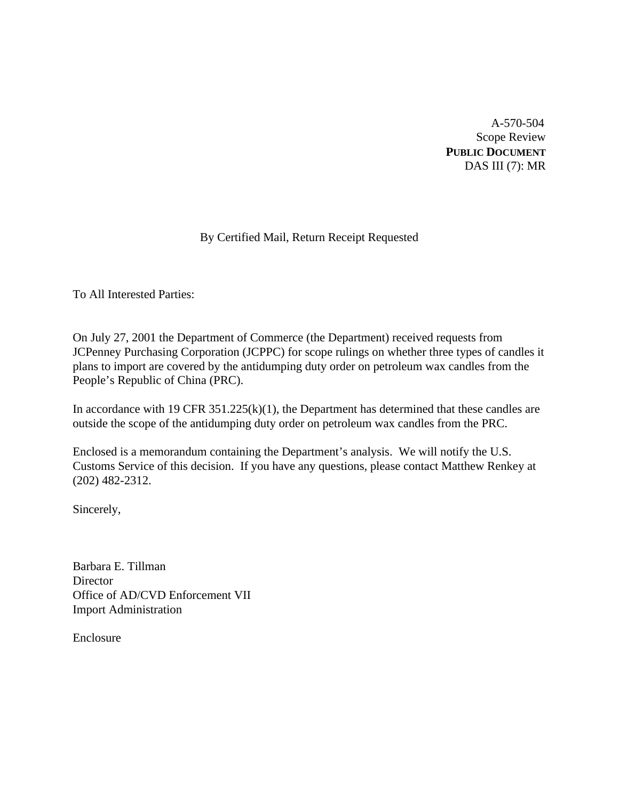A-570-504 Scope Review **PUBLIC DOCUMENT** DAS III (7): MR

# By Certified Mail, Return Receipt Requested

To All Interested Parties:

On July 27, 2001 the Department of Commerce (the Department) received requests from JCPenney Purchasing Corporation (JCPPC) for scope rulings on whether three types of candles it plans to import are covered by the antidumping duty order on petroleum wax candles from the People's Republic of China (PRC).

In accordance with 19 CFR  $351.225(k)(1)$ , the Department has determined that these candles are outside the scope of the antidumping duty order on petroleum wax candles from the PRC.

Enclosed is a memorandum containing the Department's analysis. We will notify the U.S. Customs Service of this decision. If you have any questions, please contact Matthew Renkey at (202) 482-2312.

Sincerely,

Barbara E. Tillman **Director** Office of AD/CVD Enforcement VII Import Administration

Enclosure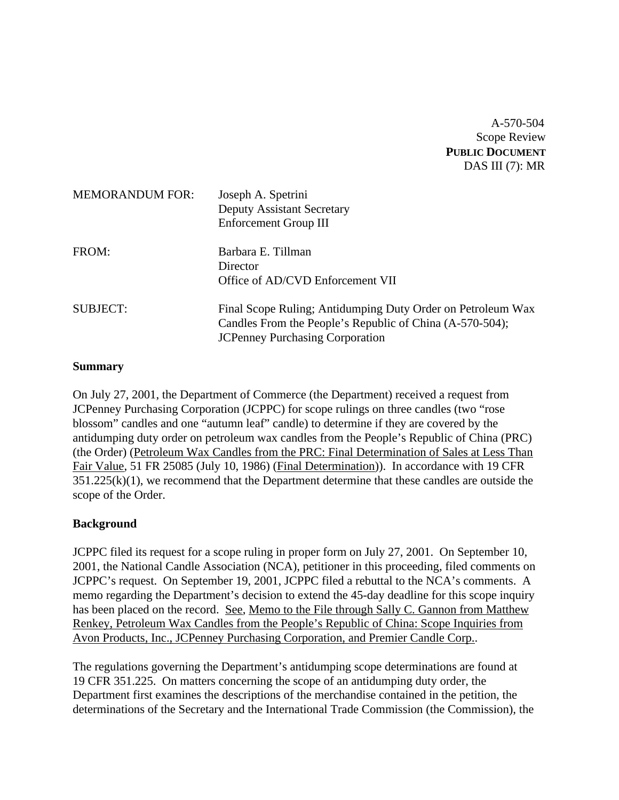A-570-504 Scope Review **PUBLIC DOCUMENT** DAS III (7): MR

| <b>MEMORANDUM FOR:</b> | Joseph A. Spetrini<br><b>Deputy Assistant Secretary</b><br>Enforcement Group III                                                                                  |
|------------------------|-------------------------------------------------------------------------------------------------------------------------------------------------------------------|
| FROM:                  | Barbara E. Tillman<br>Director<br>Office of AD/CVD Enforcement VII                                                                                                |
| <b>SUBJECT:</b>        | Final Scope Ruling; Antidumping Duty Order on Petroleum Wax<br>Candles From the People's Republic of China (A-570-504);<br><b>JCPenney Purchasing Corporation</b> |

### **Summary**

On July 27, 2001, the Department of Commerce (the Department) received a request from JCPenney Purchasing Corporation (JCPPC) for scope rulings on three candles (two "rose blossom" candles and one "autumn leaf" candle) to determine if they are covered by the antidumping duty order on petroleum wax candles from the People's Republic of China (PRC) (the Order) (Petroleum Wax Candles from the PRC: Final Determination of Sales at Less Than Fair Value, 51 FR 25085 (July 10, 1986) (Final Determination)). In accordance with 19 CFR  $351.225(k)(1)$ , we recommend that the Department determine that these candles are outside the scope of the Order.

### **Background**

JCPPC filed its request for a scope ruling in proper form on July 27, 2001. On September 10, 2001, the National Candle Association (NCA), petitioner in this proceeding, filed comments on JCPPC's request. On September 19, 2001, JCPPC filed a rebuttal to the NCA's comments. A memo regarding the Department's decision to extend the 45-day deadline for this scope inquiry has been placed on the record. See, Memo to the File through Sally C. Gannon from Matthew Renkey, Petroleum Wax Candles from the People's Republic of China: Scope Inquiries from Avon Products, Inc., JCPenney Purchasing Corporation, and Premier Candle Corp..

The regulations governing the Department's antidumping scope determinations are found at 19 CFR 351.225. On matters concerning the scope of an antidumping duty order, the Department first examines the descriptions of the merchandise contained in the petition, the determinations of the Secretary and the International Trade Commission (the Commission), the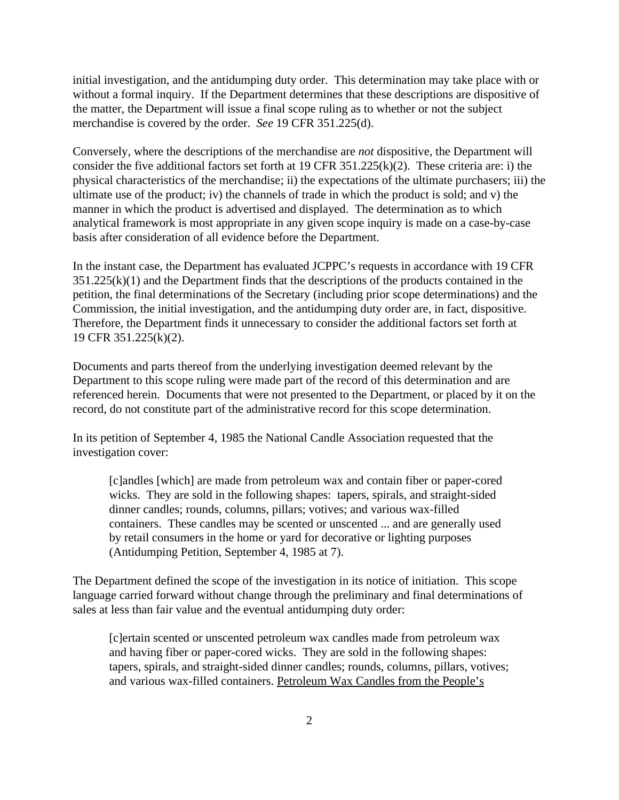initial investigation, and the antidumping duty order. This determination may take place with or without a formal inquiry. If the Department determines that these descriptions are dispositive of the matter, the Department will issue a final scope ruling as to whether or not the subject merchandise is covered by the order. *See* 19 CFR 351.225(d).

Conversely, where the descriptions of the merchandise are *not* dispositive, the Department will consider the five additional factors set forth at 19 CFR 351.225(k)(2). These criteria are: i) the physical characteristics of the merchandise; ii) the expectations of the ultimate purchasers; iii) the ultimate use of the product; iv) the channels of trade in which the product is sold; and v) the manner in which the product is advertised and displayed. The determination as to which analytical framework is most appropriate in any given scope inquiry is made on a case-by-case basis after consideration of all evidence before the Department.

In the instant case, the Department has evaluated JCPPC's requests in accordance with 19 CFR  $351.225(k)(1)$  and the Department finds that the descriptions of the products contained in the petition, the final determinations of the Secretary (including prior scope determinations) and the Commission, the initial investigation, and the antidumping duty order are, in fact, dispositive. Therefore, the Department finds it unnecessary to consider the additional factors set forth at 19 CFR 351.225(k)(2).

Documents and parts thereof from the underlying investigation deemed relevant by the Department to this scope ruling were made part of the record of this determination and are referenced herein. Documents that were not presented to the Department, or placed by it on the record, do not constitute part of the administrative record for this scope determination.

In its petition of September 4, 1985 the National Candle Association requested that the investigation cover:

[c]andles [which] are made from petroleum wax and contain fiber or paper-cored wicks. They are sold in the following shapes: tapers, spirals, and straight-sided dinner candles; rounds, columns, pillars; votives; and various wax-filled containers. These candles may be scented or unscented ... and are generally used by retail consumers in the home or yard for decorative or lighting purposes (Antidumping Petition, September 4, 1985 at 7).

The Department defined the scope of the investigation in its notice of initiation. This scope language carried forward without change through the preliminary and final determinations of sales at less than fair value and the eventual antidumping duty order:

[c]ertain scented or unscented petroleum wax candles made from petroleum wax and having fiber or paper-cored wicks. They are sold in the following shapes: tapers, spirals, and straight-sided dinner candles; rounds, columns, pillars, votives; and various wax-filled containers. Petroleum Wax Candles from the People's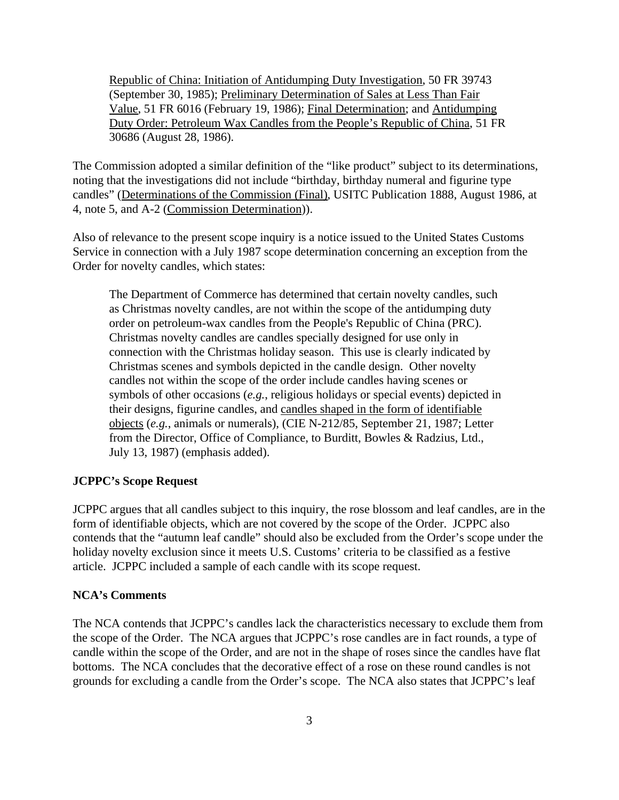Republic of China: Initiation of Antidumping Duty Investigation, 50 FR 39743 (September 30, 1985); Preliminary Determination of Sales at Less Than Fair Value, 51 FR 6016 (February 19, 1986); Final Determination; and Antidumping Duty Order: Petroleum Wax Candles from the People's Republic of China, 51 FR 30686 (August 28, 1986).

The Commission adopted a similar definition of the "like product" subject to its determinations, noting that the investigations did not include "birthday, birthday numeral and figurine type candles" (Determinations of the Commission (Final), USITC Publication 1888, August 1986, at 4, note 5, and A-2 (Commission Determination)).

Also of relevance to the present scope inquiry is a notice issued to the United States Customs Service in connection with a July 1987 scope determination concerning an exception from the Order for novelty candles, which states:

The Department of Commerce has determined that certain novelty candles, such as Christmas novelty candles, are not within the scope of the antidumping duty order on petroleum-wax candles from the People's Republic of China (PRC). Christmas novelty candles are candles specially designed for use only in connection with the Christmas holiday season. This use is clearly indicated by Christmas scenes and symbols depicted in the candle design. Other novelty candles not within the scope of the order include candles having scenes or symbols of other occasions (*e.g.*, religious holidays or special events) depicted in their designs, figurine candles, and candles shaped in the form of identifiable objects (*e.g.*, animals or numerals), (CIE N-212/85, September 21, 1987; Letter from the Director, Office of Compliance, to Burditt, Bowles & Radzius, Ltd., July 13, 1987) (emphasis added).

### **JCPPC's Scope Request**

JCPPC argues that all candles subject to this inquiry, the rose blossom and leaf candles, are in the form of identifiable objects, which are not covered by the scope of the Order. JCPPC also contends that the "autumn leaf candle" should also be excluded from the Order's scope under the holiday novelty exclusion since it meets U.S. Customs' criteria to be classified as a festive article. JCPPC included a sample of each candle with its scope request.

#### **NCA's Comments**

The NCA contends that JCPPC's candles lack the characteristics necessary to exclude them from the scope of the Order. The NCA argues that JCPPC's rose candles are in fact rounds, a type of candle within the scope of the Order, and are not in the shape of roses since the candles have flat bottoms. The NCA concludes that the decorative effect of a rose on these round candles is not grounds for excluding a candle from the Order's scope. The NCA also states that JCPPC's leaf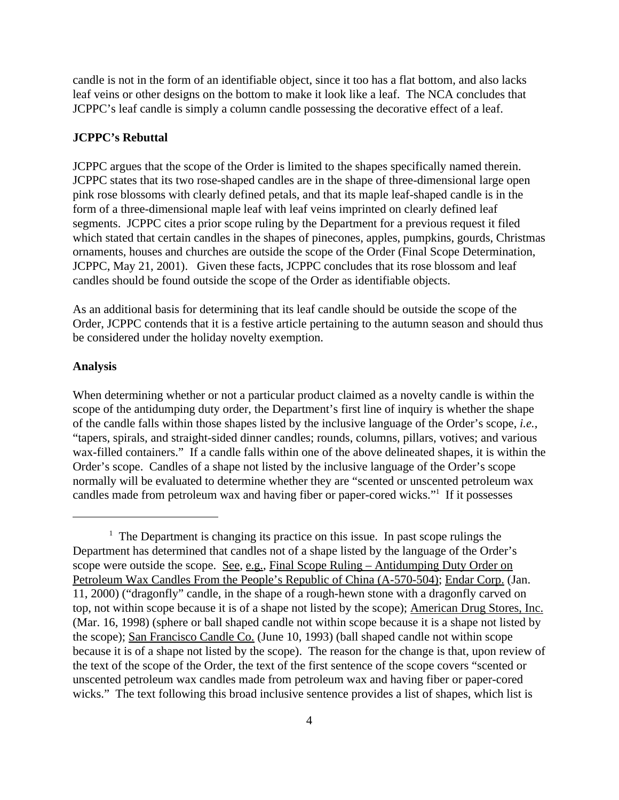candle is not in the form of an identifiable object, since it too has a flat bottom, and also lacks leaf veins or other designs on the bottom to make it look like a leaf. The NCA concludes that JCPPC's leaf candle is simply a column candle possessing the decorative effect of a leaf.

#### **JCPPC's Rebuttal**

JCPPC argues that the scope of the Order is limited to the shapes specifically named therein. JCPPC states that its two rose-shaped candles are in the shape of three-dimensional large open pink rose blossoms with clearly defined petals, and that its maple leaf-shaped candle is in the form of a three-dimensional maple leaf with leaf veins imprinted on clearly defined leaf segments. JCPPC cites a prior scope ruling by the Department for a previous request it filed which stated that certain candles in the shapes of pinecones, apples, pumpkins, gourds, Christmas ornaments, houses and churches are outside the scope of the Order (Final Scope Determination, JCPPC, May 21, 2001). Given these facts, JCPPC concludes that its rose blossom and leaf candles should be found outside the scope of the Order as identifiable objects.

As an additional basis for determining that its leaf candle should be outside the scope of the Order, JCPPC contends that it is a festive article pertaining to the autumn season and should thus be considered under the holiday novelty exemption.

#### **Analysis**

When determining whether or not a particular product claimed as a novelty candle is within the scope of the antidumping duty order, the Department's first line of inquiry is whether the shape of the candle falls within those shapes listed by the inclusive language of the Order's scope, *i.e.*, "tapers, spirals, and straight-sided dinner candles; rounds, columns, pillars, votives; and various wax-filled containers." If a candle falls within one of the above delineated shapes, it is within the Order's scope. Candles of a shape not listed by the inclusive language of the Order's scope normally will be evaluated to determine whether they are "scented or unscented petroleum wax candles made from petroleum wax and having fiber or paper-cored wicks."<sup>1</sup> If it possesses

<sup>&</sup>lt;sup>1</sup> The Department is changing its practice on this issue. In past scope rulings the Department has determined that candles not of a shape listed by the language of the Order's scope were outside the scope. See, e.g., Final Scope Ruling – Antidumping Duty Order on Petroleum Wax Candles From the People's Republic of China (A-570-504); Endar Corp. (Jan. 11, 2000) ("dragonfly" candle, in the shape of a rough-hewn stone with a dragonfly carved on top, not within scope because it is of a shape not listed by the scope); American Drug Stores, Inc. (Mar. 16, 1998) (sphere or ball shaped candle not within scope because it is a shape not listed by the scope); San Francisco Candle Co. (June 10, 1993) (ball shaped candle not within scope because it is of a shape not listed by the scope). The reason for the change is that, upon review of the text of the scope of the Order, the text of the first sentence of the scope covers "scented or unscented petroleum wax candles made from petroleum wax and having fiber or paper-cored wicks." The text following this broad inclusive sentence provides a list of shapes, which list is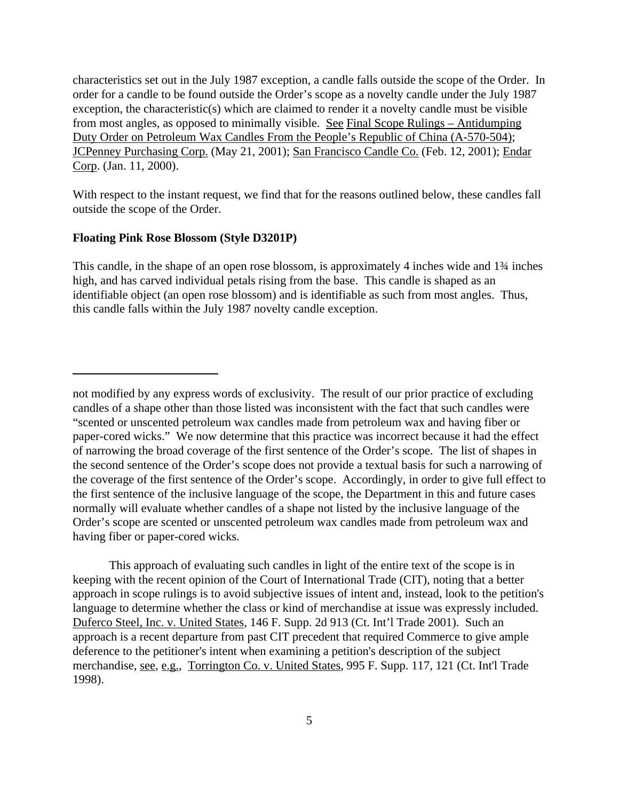characteristics set out in the July 1987 exception, a candle falls outside the scope of the Order. In order for a candle to be found outside the Order's scope as a novelty candle under the July 1987 exception, the characteristic(s) which are claimed to render it a novelty candle must be visible from most angles, as opposed to minimally visible. See Final Scope Rulings – Antidumping Duty Order on Petroleum Wax Candles From the People's Republic of China (A-570-504); JCPenney Purchasing Corp. (May 21, 2001); San Francisco Candle Co. (Feb. 12, 2001); Endar Corp. (Jan. 11, 2000).

With respect to the instant request, we find that for the reasons outlined below, these candles fall outside the scope of the Order.

#### **Floating Pink Rose Blossom (Style D3201P)**

This candle, in the shape of an open rose blossom, is approximately 4 inches wide and 1¾ inches high, and has carved individual petals rising from the base. This candle is shaped as an identifiable object (an open rose blossom) and is identifiable as such from most angles. Thus, this candle falls within the July 1987 novelty candle exception.

This approach of evaluating such candles in light of the entire text of the scope is in keeping with the recent opinion of the Court of International Trade (CIT), noting that a better approach in scope rulings is to avoid subjective issues of intent and, instead, look to the petition's language to determine whether the class or kind of merchandise at issue was expressly included. Duferco Steel, Inc. v. United States, 146 F. Supp. 2d 913 (Ct. Int'l Trade 2001). Such an approach is a recent departure from past CIT precedent that required Commerce to give ample deference to the petitioner's intent when examining a petition's description of the subject merchandise, see, e.g., Torrington Co. v. United States, 995 F. Supp. 117, 121 (Ct. Int'l Trade 1998).

not modified by any express words of exclusivity. The result of our prior practice of excluding candles of a shape other than those listed was inconsistent with the fact that such candles were "scented or unscented petroleum wax candles made from petroleum wax and having fiber or paper-cored wicks." We now determine that this practice was incorrect because it had the effect of narrowing the broad coverage of the first sentence of the Order's scope. The list of shapes in the second sentence of the Order's scope does not provide a textual basis for such a narrowing of the coverage of the first sentence of the Order's scope. Accordingly, in order to give full effect to the first sentence of the inclusive language of the scope, the Department in this and future cases normally will evaluate whether candles of a shape not listed by the inclusive language of the Order's scope are scented or unscented petroleum wax candles made from petroleum wax and having fiber or paper-cored wicks.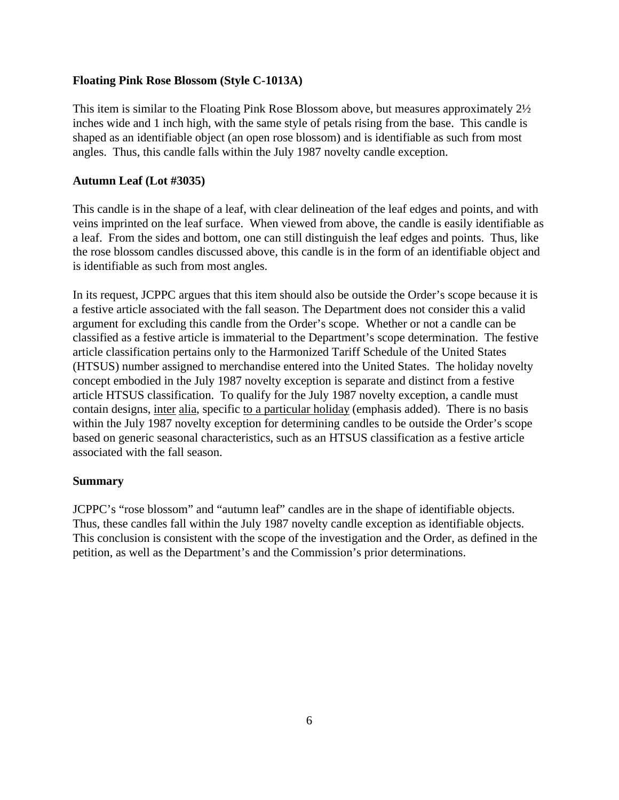### **Floating Pink Rose Blossom (Style C-1013A)**

This item is similar to the Floating Pink Rose Blossom above, but measures approximately 2½ inches wide and 1 inch high, with the same style of petals rising from the base.This candle is shaped as an identifiable object (an open rose blossom) and is identifiable as such from most angles. Thus, this candle falls within the July 1987 novelty candle exception.

## **Autumn Leaf (Lot #3035)**

This candle is in the shape of a leaf, with clear delineation of the leaf edges and points, and with veins imprinted on the leaf surface. When viewed from above, the candle is easily identifiable as a leaf. From the sides and bottom, one can still distinguish the leaf edges and points. Thus, like the rose blossom candles discussed above, this candle is in the form of an identifiable object and is identifiable as such from most angles.

In its request, JCPPC argues that this item should also be outside the Order's scope because it is a festive article associated with the fall season. The Department does not consider this a valid argument for excluding this candle from the Order's scope. Whether or not a candle can be classified as a festive article is immaterial to the Department's scope determination. The festive article classification pertains only to the Harmonized Tariff Schedule of the United States (HTSUS) number assigned to merchandise entered into the United States. The holiday novelty concept embodied in the July 1987 novelty exception is separate and distinct from a festive article HTSUS classification. To qualify for the July 1987 novelty exception, a candle must contain designs, inter alia, specific to a particular holiday (emphasis added). There is no basis within the July 1987 novelty exception for determining candles to be outside the Order's scope based on generic seasonal characteristics, such as an HTSUS classification as a festive article associated with the fall season.

## **Summary**

JCPPC's "rose blossom" and "autumn leaf" candles are in the shape of identifiable objects. Thus, these candles fall within the July 1987 novelty candle exception as identifiable objects. This conclusion is consistent with the scope of the investigation and the Order, as defined in the petition, as well as the Department's and the Commission's prior determinations.